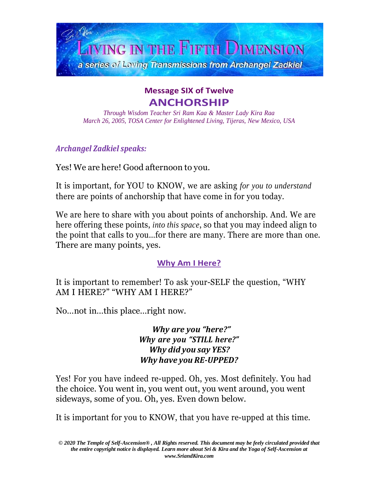

# **Message SIX of Twelve ANCHORSHIP**

*Through Wisdom Teacher Sri Ram Kaa & Master Lady Kira Raa March 26, 2005, TOSA Center for Enlightened Living, Tijeras, New Mexico, USA*

*Archangel Zadkiel speaks:*

Yes! We are here! Good afternoon to you.

It is important, for YOU to KNOW, we are asking *for you to understand* there are points of anchorship that have come in for you today.

We are here to share with you about points of anchorship. And. We are here offering these points, *into this space*, so that you may indeed align to the point that calls to you…for there are many. There are more than one. There are many points, yes.

# **Why Am I Here?**

It is important to remember! To ask your-SELF the question, "WHY AM I HERE?" "WHY AM I HERE?"

No…not in…this place…right now.

*Why are you "here?" Why are you "STILL here?" Why did you say YES? Why have you RE-UPPED?*

Yes! For you have indeed re-upped. Oh, yes. Most definitely. You had the choice. You went in, you went out, you went around, you went sideways, some of you. Oh, yes. Even down below.

It is important for you to KNOW, that you have re-upped at this time.

*<sup>© 2020</sup> The Temple of Self-Ascension® , All Rights reserved. This document may be feely circulated provided that the entire copyright notice is displayed. Learn more about Sri & Kira and the Yoga of Self-Ascension at [www.SriandKira.com](http://www.sriandkira.com/)*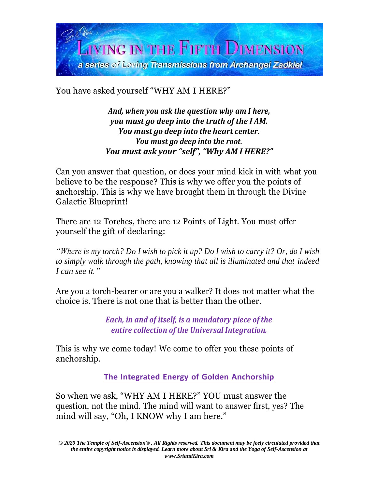

You have asked yourself "WHY AM I HERE?"

*And, when you ask the question why am I here, you must go deep into the truth of the I AM. You must go deep into the heart center. You must go deep into the root. You must ask your "self", "Why AM I HERE?"*

Can you answer that question, or does your mind kick in with what you believe to be the response? This is why we offer you the points of anchorship. This is why we have brought them in through the Divine Galactic Blueprint!

There are 12 Torches, there are 12 Points of Light. You must offer yourself the gift of declaring:

"Where is my torch? Do I wish to pick it up? Do I wish to carry it? Or, do I wish *to simply walk through the path, knowing that all is illuminated and that indeed I can see it."*

Are you a torch-bearer or are you a walker? It does not matter what the choice is. There is not one that is better than the other.

> *Each, in and of itself, is a mandatory piece of the entire collection of the Universal Integration.*

This is why we come today! We come to offer you these points of anchorship.

**The Integrated Energy of Golden Anchorship**

So when we ask, "WHY AM I HERE?" YOU must answer the question, not the mind. The mind will want to answer first, yes? The mind will say, "Oh, I KNOW why I am here."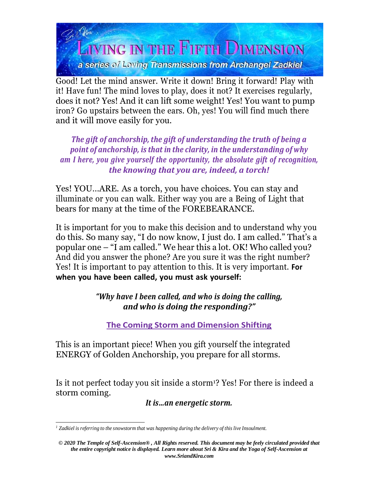

Good! Let the mind answer. Write it down! Bring it forward! Play with it! Have fun! The mind loves to play, does it not? It exercises regularly, does it not? Yes! And it can lift some weight! Yes! You want to pump iron? Go upstairs between the ears. Oh, yes! You will find much there and it will move easily for you.

*The gift of anchorship, the gift of understanding the truth of being a point of anchorship, is that in the clarity, in the understanding of why am I here, you give yourself the opportunity, the absolute gift of recognition, the knowing that you are, indeed, a torch!*

Yes! YOU…ARE. As a torch, you have choices. You can stay and illuminate or you can walk. Either way you are a Being of Light that bears for many at the time of the FOREBEARANCE.

It is important for you to make this decision and to understand why you do this. So many say, "I do now know, I just do. I am called." That's a popular one – "I am called." We hear this a lot. OK! Who called you? And did you answer the phone? Are you sure it was the right number? Yes! It is important to pay attention to this. It is very important. **For when you have been called, you must ask yourself:**

## *"Why have I been called, and who is doing the calling, and who is doing the responding?"*

**The Coming Storm and Dimension Shifting**

This is an important piece! When you gift yourself the integrated ENERGY of Golden Anchorship, you prepare for all storms.

Is it not perfect today you sit inside a storm<sup>1</sup>? Yes! For there is indeed a storm coming.

*It is…an energetic storm.*

*<sup>1</sup> Zadkiel is referring to the snowstorm that was happening during the delivery of this live Insoulment.*

*<sup>© 2020</sup> The Temple of Self-Ascension® , All Rights reserved. This document may be feely circulated provided that the entire copyright notice is displayed. Learn more about Sri & Kira and the Yoga of Self-Ascension at [www.SriandKira.com](http://www.sriandkira.com/)*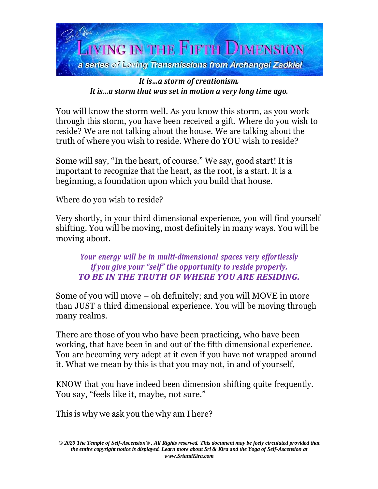

## *It is…a storm of creationism. It is…a storm that was set in motion a very long time ago.*

You will know the storm well. As you know this storm, as you work through this storm, you have been received a gift. Where do you wish to reside? We are not talking about the house. We are talking about the truth of where you wish to reside. Where do YOU wish to reside?

Some will say, "In the heart, of course." We say, good start! It is important to recognize that the heart, as the root, is a start. It is a beginning, a foundation upon which you build that house.

Where do you wish to reside?

Very shortly, in your third dimensional experience, you will find yourself shifting. You will be moving, most definitely in many ways. You will be moving about.

*Your energy will be in multi-dimensional spaces very effortlessly if you give your "self" the opportunity to reside properly. TO BE IN THE TRUTH OF WHERE YOU ARE RESIDING.*

Some of you will move – oh definitely; and you will MOVE in more than JUST a third dimensional experience. You will be moving through many realms.

There are those of you who have been practicing, who have been working, that have been in and out of the fifth dimensional experience. You are becoming very adept at it even if you have not wrapped around it. What we mean by this is that you may not, in and of yourself,

KNOW that you have indeed been dimension shifting quite frequently. You say, "feels like it, maybe, not sure."

This is why we ask you the why am I here?

*<sup>© 2020</sup> The Temple of Self-Ascension® , All Rights reserved. This document may be feely circulated provided that the entire copyright notice is displayed. Learn more about Sri & Kira and the Yoga of Self-Ascension at [www.SriandKira.com](http://www.sriandkira.com/)*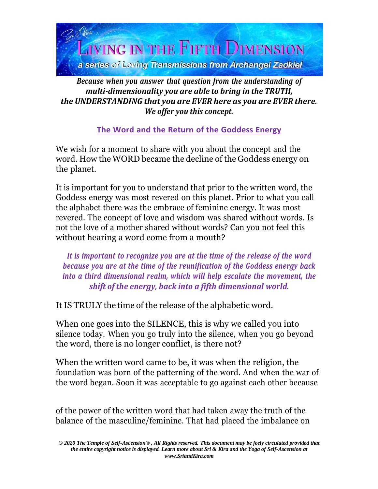

## *Because when you answer that question from the understanding of multi-dimensionality you are able to bring in the TRUTH, the UNDERSTANDING that you are EVER here as you are EVER there. We offer you this concept.*

**The Word and the Return of the Goddess Energy**

We wish for a moment to share with you about the concept and the word. How the WORD became the decline of the Goddess energy on the planet.

It is important for you to understand that prior to the written word, the Goddess energy was most revered on this planet. Prior to what you call the alphabet there was the embrace of feminine energy. It was most revered. The concept of love and wisdom was shared without words. Is not the love of a mother shared without words? Can you not feel this without hearing a word come from a mouth?

*It is important to recognize you are at the time of the release of the word because you are at the time of the reunification of the Goddess energy back into a third dimensional realm, which will help escalate the movement, the shift of the energy, back into a fifth dimensional world.*

It IS TRULY the time of the release of the alphabetic word.

When one goes into the SILENCE, this is why we called you into silence today. When you go truly into the silence, when you go beyond the word, there is no longer conflict, is there not?

When the written word came to be, it was when the religion, the foundation was born of the patterning of the word. And when the war of the word began. Soon it was acceptable to go against each other because

of the power of the written word that had taken away the truth of the balance of the masculine/feminine. That had placed the imbalance on

*<sup>© 2020</sup> The Temple of Self-Ascension® , All Rights reserved. This document may be feely circulated provided that the entire copyright notice is displayed. Learn more about Sri & Kira and the Yoga of Self-Ascension at [www.SriandKira.com](http://www.sriandkira.com/)*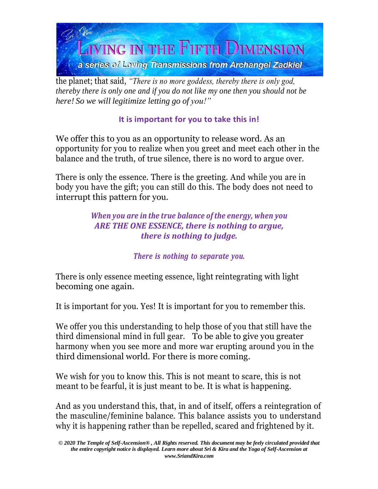

the planet; that said, *"There is no more goddess, thereby there is only god, thereby there is only one and if you do not like my one then you should not be here! So we will legitimize letting go of you!"*

# **It is important for you to take this in!**

We offer this to you as an opportunity to release word. As an opportunity for you to realize when you greet and meet each other in the balance and the truth, of true silence, there is no word to argue over.

There is only the essence. There is the greeting. And while you are in body you have the gift; you can still do this. The body does not need to interrupt this pattern for you.

## *When you are in the true balance of the energy, when you ARE THE ONE ESSENCE, there is nothing to argue, there is nothing to judge.*

*There is nothing to separate you.*

There is only essence meeting essence, light reintegrating with light becoming one again.

It is important for you. Yes! It is important for you to remember this.

We offer you this understanding to help those of you that still have the third dimensional mind in full gear. To be able to give you greater harmony when you see more and more war erupting around you in the third dimensional world. For there is more coming.

We wish for you to know this. This is not meant to scare, this is not meant to be fearful, it is just meant to be. It is what is happening.

And as you understand this, that, in and of itself, offers a reintegration of the masculine/feminine balance. This balance assists you to understand why it is happening rather than be repelled, scared and frightened by it.

*<sup>© 2020</sup> The Temple of Self-Ascension® , All Rights reserved. This document may be feely circulated provided that the entire copyright notice is displayed. Learn more about Sri & Kira and the Yoga of Self-Ascension at [www.SriandKira.com](http://www.sriandkira.com/)*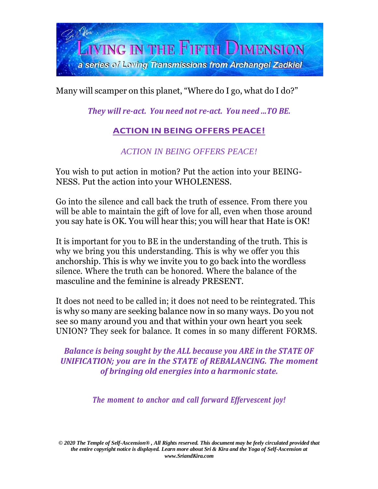

Many will scamper on this planet, "Where do I go, what do I do?"

*They will re-act. You need not re-act. You need ...TO BE.*

# **ACTION IN BEING OFFERS PEACE!**

*ACTION IN BEING OFFERS PEACE!*

You wish to put action in motion? Put the action into your BEING-NESS. Put the action into your WHOLENESS.

Go into the silence and call back the truth of essence. From there you will be able to maintain the gift of love for all, even when those around you say hate is OK. You will hear this; you will hear that Hate is OK!

It is important for you to BE in the understanding of the truth. This is why we bring you this understanding. This is why we offer you this anchorship. This is why we invite you to go back into the wordless silence. Where the truth can be honored. Where the balance of the masculine and the feminine is already PRESENT.

It does not need to be called in; it does not need to be reintegrated. This is why so many are seeking balance now in so many ways. Do you not see so many around you and that within your own heart you seek UNION? They seek for balance. It comes in so many different FORMS.

*Balance is being sought by the ALL because you ARE in the STATE OF UNIFICATION; you are in the STATE of REBALANCING. The moment of bringing old energies into a harmonic state.*

*The moment to anchor and call forward Effervescent joy!*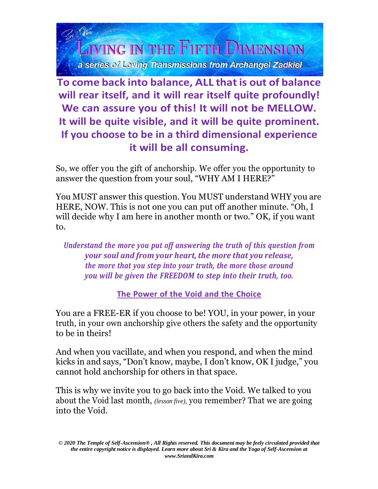

**To come back into balance, ALL that is out of balance will rear itself, and it will rear itself quite profoundly! We can assure you of this! It will not be MELLOW. It will be quite visible, and it will be quite prominent. If you choose to be in a third dimensional experience it will be all consuming.**

So, we offer you the gift of anchorship. We offer you the opportunity to answer the question from your soul, "WHY AM I HERE?"

You MUST answer this question. You MUST understand WHY you are HERE, NOW. This is not one you can put off another minute. "Oh, I will decide why I am here in another month or two." OK, if you want to.

*Understand the more you put off answering the truth of this question from your soul and from your heart, the more that you release, the more that you step into your truth, the more those around you will be given the FREEDOM to step into their truth, too.*

**The Power of the Void and the Choice**

You are a FREE-ER if you choose to be! YOU, in your power, in your truth, in your own anchorship give others the safety and the opportunity to be in theirs!

And when you vacillate, and when you respond, and when the mind kicks in and says, "Don't know, maybe, I don't know, OK I judge," you cannot hold anchorship for others in that space.

This is why we invite you to go back into the Void. We talked to you about the Void last month, *(lesson five),* you remember? That we are going into the Void.

*<sup>© 2020</sup> The Temple of Self-Ascension® , All Rights reserved. This document may be feely circulated provided that the entire copyright notice is displayed. Learn more about Sri & Kira and the Yoga of Self-Ascension at [www.SriandKira.com](http://www.sriandkira.com/)*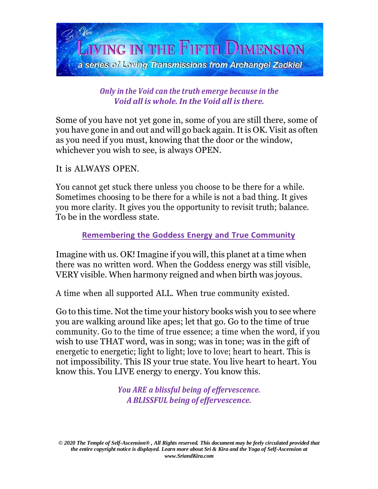

*Only in the Void can the truth emerge because in the Void all is whole. In the Void all is there.*

Some of you have not yet gone in, some of you are still there, some of you have gone in and out and will go back again. It is OK. Visit as often as you need if you must, knowing that the door or the window, whichever you wish to see, is always OPEN.

#### It is ALWAYS OPEN.

You cannot get stuck there unless you choose to be there for a while. Sometimes choosing to be there for a while is not a bad thing. It gives you more clarity. It gives you the opportunity to revisit truth; balance. To be in the wordless state.

#### **Remembering the Goddess Energy and True Community**

Imagine with us. OK! Imagine if you will, this planet at a time when there was no written word. When the Goddess energy was still visible, VERY visible. When harmony reigned and when birth was joyous.

A time when all supported ALL. When true community existed.

Go to this time. Not the time your history books wish you to see where you are walking around like apes; let that go. Go to the time of true community. Go to the time of true essence; a time when the word, if you wish to use THAT word, was in song; was in tone; was in the gift of energetic to energetic; light to light; love to love; heart to heart. This is not impossibility. This IS your true state. You live heart to heart. You know this. You LIVE energy to energy. You know this.

> *You ARE a blissful being of effervescence. A BLISSFUL being of effervescence.*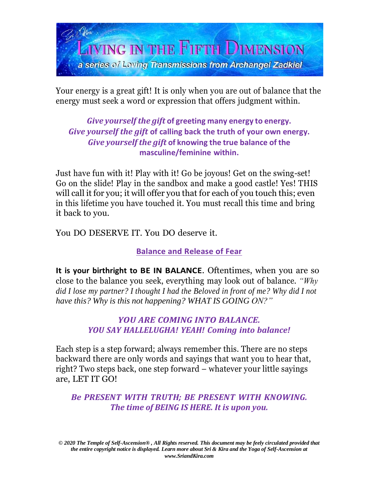

Your energy is a great gift! It is only when you are out of balance that the energy must seek a word or expression that offers judgment within.

*Give yourself the gift* **of greeting many energy to energy.** *Give yourself the gift* **of calling back the truth of your own energy.** *Give yourself the gift* **of knowing the true balance of the masculine/feminine within.**

Just have fun with it! Play with it! Go be joyous! Get on the swing-set! Go on the slide! Play in the sandbox and make a good castle! Yes! THIS will call it for you; it will offer you that for each of you touch this; even in this lifetime you have touched it. You must recall this time and bring it back to you.

You DO DESERVE IT. You DO deserve it.

**Balance and Release of Fear**

**It is your birthright to BE IN BALANCE**. Oftentimes, when you are so close to the balance you seek, everything may look out of balance. *"Why did I lose my partner? I thought I had the Beloved in front of me? Why did I not have this? Why is this not happening? WHAT IS GOING ON?"*

#### *YOU ARE COMING INTO BALANCE. YOU SAY HALLELUGHA! YEAH! Coming into balance!*

Each step is a step forward; always remember this. There are no steps backward there are only words and sayings that want you to hear that, right? Two steps back, one step forward – whatever your little sayings are, LET IT GO!

*Be PRESENT WITH TRUTH; BE PRESENT WITH KNOWING. The time of BEING IS HERE. It is upon you.*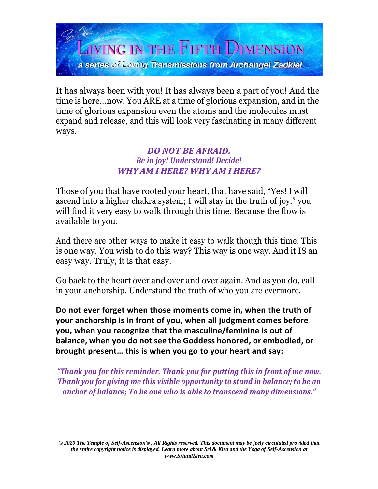

It has always been with you! It has always been a part of you! And the time is here…now. You ARE at a time of glorious expansion, and in the time of glorious expansion even the atoms and the molecules must expand and release, and this will look very fascinating in many different ways.

#### *DO NOT BE AFRAID. Be in joy! Understand! Decide! WHY AM I HERE? WHY AM I HERE?*

Those of you that have rooted your heart, that have said, "Yes!I will ascend into a higher chakra system; I will stay in the truth of joy," you will find it very easy to walk through this time. Because the flow is available to you.

And there are other ways to make it easy to walk though this time. This is one way. You wish to do this way? This way is one way. And it IS an easy way. Truly, it is that easy.

Go back to the heart over and over and over again. And as you do, call in your anchorship. Understand the truth of who you are evermore.

**Do not ever forget when those moments come in, when the truth of your anchorship is in front of you, when all judgment comes before you, when you recognize that the masculine/feminine is out of balance, when you do not see the Goddess honored, or embodied, or brought present… this is when you go to your heart and say:**

*"Thank you for this reminder. Thank you for putting this in front of me now. Thank you for giving me this visible opportunity to stand in balance; to be an anchor of balance; To be one who is able to transcend many dimensions."*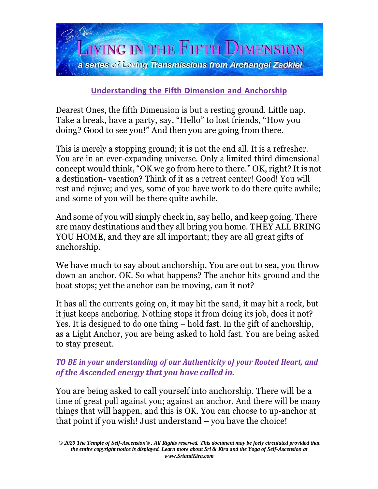

## **Understanding the Fifth Dimension and Anchorship**

Dearest Ones, the fifth Dimension is but a resting ground. Little nap. Take a break, have a party, say, "Hello" to lost friends, "How you doing? Good to see you!" And then you are going from there.

This is merely a stopping ground; it is not the end all. It is a refresher. You are in an ever-expanding universe. Only a limited third dimensional concept would think, "OK we go from here to there." OK, right? It is not a destination- vacation? Think of it as a retreat center! Good! You will rest and rejuve; and yes, some of you have work to do there quite awhile; and some of you will be there quite awhile.

And some of you will simply check in, say hello, and keep going. There are many destinations and they all bring you home. THEY ALL BRING YOU HOME, and they are all important; they are all great gifts of anchorship.

We have much to say about anchorship. You are out to sea, you throw down an anchor. OK. So what happens? The anchor hits ground and the boat stops; yet the anchor can be moving, can it not?

It has all the currents going on, it may hit the sand, it may hit a rock, but it just keeps anchoring. Nothing stops it from doing its job, does it not? Yes. It is designed to do one thing – hold fast. In the gift of anchorship, as a Light Anchor, you are being asked to hold fast. You are being asked to stay present.

#### *TO BE in your understanding of our Authenticity of your Rooted Heart, and of the Ascended energy that you have called in.*

You are being asked to call yourself into anchorship. There will be a time of great pull against you; against an anchor. And there will be many things that will happen, and this is OK. You can choose to up-anchor at that point if you wish! Just understand – you have the choice!

*<sup>© 2020</sup> The Temple of Self-Ascension® , All Rights reserved. This document may be feely circulated provided that the entire copyright notice is displayed. Learn more about Sri & Kira and the Yoga of Self-Ascension at [www.SriandKira.com](http://www.sriandkira.com/)*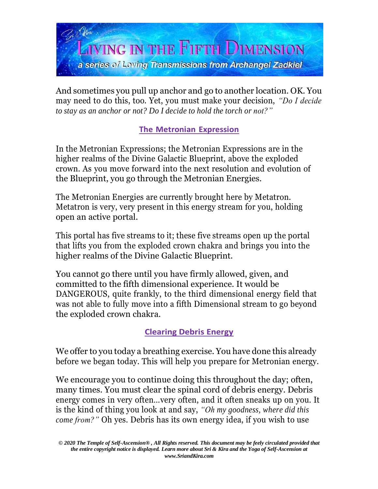

And sometimes you pull up anchor and go to another location. OK. You may need to do this, too. Yet, you must make your decision, *"Do I decide to stay as an anchor or not? Do I decide to hold the torch or not?"*

## **The Metronian Expression**

In the Metronian Expressions; the Metronian Expressions are in the higher realms of the Divine Galactic Blueprint, above the exploded crown. As you move forward into the next resolution and evolution of the Blueprint, you go through the Metronian Energies.

The Metronian Energies are currently brought here by Metatron. Metatron is very, very present in this energy stream for you, holding open an active portal.

This portal has five streams to it; these five streams open up the portal that lifts you from the exploded crown chakra and brings you into the higher realms of the Divine Galactic Blueprint.

You cannot go there until you have firmly allowed, given, and committed to the fifth dimensional experience. It would be DANGEROUS, quite frankly, to the third dimensional energy field that was not able to fully move into a fifth Dimensional stream to go beyond the exploded crown chakra.

# **Clearing Debris Energy**

We offer to you today a breathing exercise. You have done this already before we began today. This will help you prepare for Metronian energy.

We encourage you to continue doing this throughout the day; often, many times. You must clear the spinal cord of debris energy. Debris energy comes in very often…very often, and it often sneaks up on you. It is the kind of thing you look at and say, *"Oh my goodness, where did this come from?"* Oh yes. Debris has its own energy idea, if you wish to use

*<sup>© 2020</sup> The Temple of Self-Ascension® , All Rights reserved. This document may be feely circulated provided that the entire copyright notice is displayed. Learn more about Sri & Kira and the Yoga of Self-Ascension at [www.SriandKira.com](http://www.sriandkira.com/)*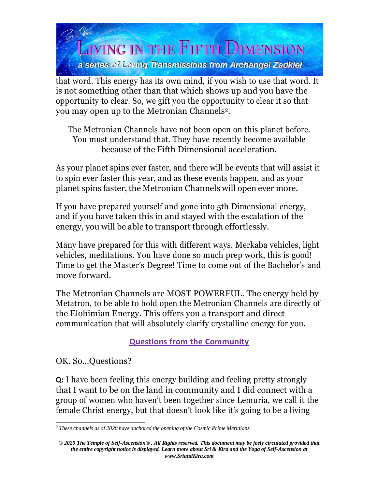

that word. This energy has its own mind, if you wish to use that word. It is not something other than that which shows up and you have the opportunity to clear. So, we gift you the opportunity to clear it so that you may open up to the Metronian Channels2.

The Metronian Channels have not been open on this planet before. You must understand that. They have recently become available because of the Fifth Dimensional acceleration.

As your planet spins ever faster, and there will be events that will assist it to spin ever faster this year, and as these events happen, and as your planet spins faster, the Metronian Channels will open ever more.

If you have prepared yourself and gone into 5th Dimensional energy, and if you have taken this in and stayed with the escalation of the energy, you will be able to transport through effortlessly.

Many have prepared for this with different ways. Merkaba vehicles, light vehicles, meditations. You have done so much prep work, this is good! Time to get the Master's Degree! Time to come out of the Bachelor's and move forward.

The Metronian Channels are MOST POWERFUL. The energy held by Metatron, to be able to hold open the Metronian Channels are directly of the Elohimian Energy. This offers you a transport and direct communication that will absolutely clarify crystalline energy for you.

**Questions from the Community**

OK. So…Questions?

**Q:** I have been feeling this energy building and feeling pretty strongly that I want to be on the land in community and I did connect with a group of women who haven't been together since Lemuria, we call it the female Christ energy, but that doesn't look like it's going to be a living

*<sup>2</sup> These channels as of 2020 have anchored the opening of the Cosmic Prime Meridians.*

*<sup>© 2020</sup> The Temple of Self-Ascension® , All Rights reserved. This document may be feely circulated provided that the entire copyright notice is displayed. Learn more about Sri & Kira and the Yoga of Self-Ascension at [www.SriandKira.com](http://www.sriandkira.com/)*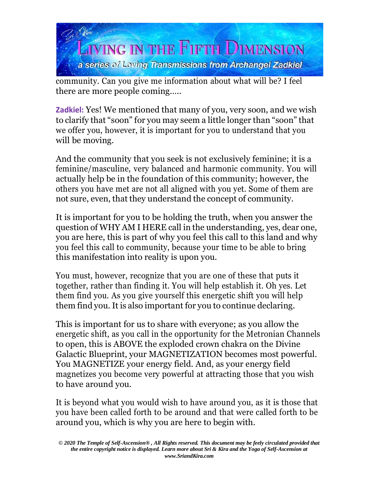

community. Can you give me information about what will be? I feel there are more people coming…..

**Zadkiel:** Yes! We mentioned that many of you, very soon, and we wish to clarify that "soon" for you may seem a little longer than "soon" that we offer you, however, it is important for you to understand that you will be moving.

And the community that you seek is not exclusively feminine; it is a feminine/masculine, very balanced and harmonic community. You will actually help be in the foundation of this community; however, the others you have met are not all aligned with you yet. Some of them are not sure, even, that they understand the concept of community.

It is important for you to be holding the truth, when you answer the question of WHY AM I HERE call in the understanding, yes, dear one, you are here, this is part of why you feel this call to this land and why you feel this call to community, because your time to be able to bring this manifestation into reality is upon you.

You must, however, recognize that you are one of these that puts it together, rather than finding it. You will help establish it. Oh yes. Let them find you. As you give yourself this energetic shift you will help them find you. It is also important for you to continue declaring.

This is important for us to share with everyone; as you allow the energetic shift, as you call in the opportunity for the Metronian Channels to open, this is ABOVE the exploded crown chakra on the Divine Galactic Blueprint, your MAGNETIZATION becomes most powerful. You MAGNETIZE your energy field. And, as your energy field magnetizes you become very powerful at attracting those that you wish to have around you.

It is beyond what you would wish to have around you, as it is those that you have been called forth to be around and that were called forth to be around you, which is why you are here to begin with.

*<sup>© 2020</sup> The Temple of Self-Ascension® , All Rights reserved. This document may be feely circulated provided that the entire copyright notice is displayed. Learn more about Sri & Kira and the Yoga of Self-Ascension at [www.SriandKira.com](http://www.sriandkira.com/)*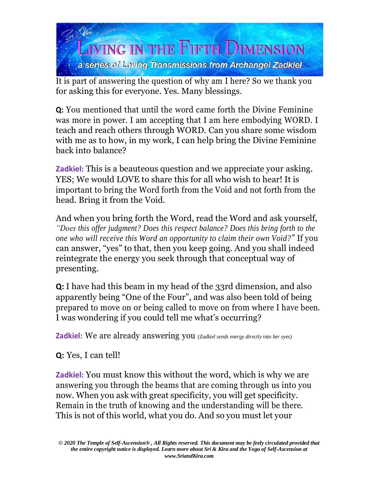

It is part of answering the question of why am I here? So we thank you for asking this for everyone. Yes. Many blessings.

**Q:** You mentioned that until the word came forth the Divine Feminine was more in power. I am accepting that I am here embodying WORD. I teach and reach others through WORD. Can you share some wisdom with me as to how, in my work, I can help bring the Divine Feminine back into balance?

**Zadkiel:** This is a beauteous question and we appreciate your asking. YES; We would LOVE to share this for all who wish to hear! It is important to bring the Word forth from the Void and not forth from the head. Bring it from the Void.

And when you bring forth the Word, read the Word and ask yourself, *"Does this offer judgment? Does this respect balance? Does this bring forth to the one who will receive this Word an opportunity to claim their own Void?*" If you can answer, "yes" to that, then you keep going. And you shall indeed reintegrate the energy you seek through that conceptual way of presenting.

**Q:** I have had this beam in my head of the 33rd dimension, and also apparently being "One of the Four", and was also been told of being prepared to move on or being called to move on from where I have been. I was wondering if you could tell me what's occurring?

**Zadkiel:** We are already answering you *(Zadkiel sends energy directly into her eyes)*

**Q:** Yes, I can tell!

**Zadkiel:** You must know this without the word, which is why we are answering you through the beams that are coming through us into you now. When you ask with great specificity, you will get specificity. Remain in the truth of knowing and the understanding will be there. This is not of this world, what you do. And so you must let your

*<sup>© 2020</sup> The Temple of Self-Ascension® , All Rights reserved. This document may be feely circulated provided that the entire copyright notice is displayed. Learn more about Sri & Kira and the Yoga of Self-Ascension at [www.SriandKira.com](http://www.sriandkira.com/)*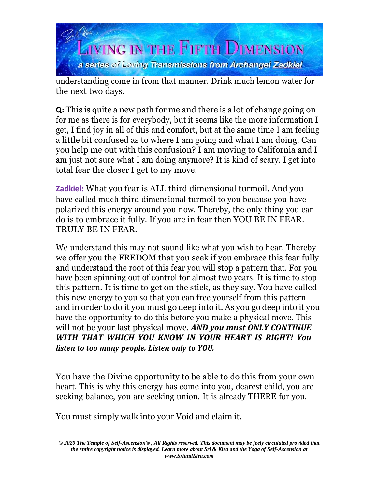

understanding come in from that manner. Drink much lemon water for the next two days.

**Q:** This is quite a new path for me and there is a lot of change going on for me as there is for everybody, but it seems like the more information I get, I find joy in all of this and comfort, but at the same time I am feeling a little bit confused as to where I am going and what I am doing. Can you help me out with this confusion? I am moving to California and I am just not sure what I am doing anymore? It is kind of scary. I get into total fear the closer I get to my move.

**Zadkiel:** What you fear is ALL third dimensional turmoil. And you have called much third dimensional turmoil to you because you have polarized this energy around you now. Thereby, the only thing you can do is to embrace it fully. If you are in fear then YOU BE IN FEAR. TRULY BE IN FEAR.

We understand this may not sound like what you wish to hear. Thereby we offer you the FREDOM that you seek if you embrace this fear fully and understand the root of this fear you will stop a pattern that. For you have been spinning out of control for almost two years. It is time to stop this pattern. It is time to get on the stick, as they say. You have called this new energy to you so that you can free yourself from this pattern and in order to do it you must go deep into it. As you go deep into it you have the opportunity to do this before you make a physical move. This will not be your last physical move. *AND you must ONLY CONTINUE WITH THAT WHICH YOU KNOW IN YOUR HEART IS RIGHT! You listen to too many people. Listen only to YOU.*

You have the Divine opportunity to be able to do this from your own heart. This is why this energy has come into you, dearest child, you are seeking balance, you are seeking union. It is already THERE for you.

You must simply walk into your Void and claim it.

*<sup>© 2020</sup> The Temple of Self-Ascension® , All Rights reserved. This document may be feely circulated provided that the entire copyright notice is displayed. Learn more about Sri & Kira and the Yoga of Self-Ascension at [www.SriandKira.com](http://www.sriandkira.com/)*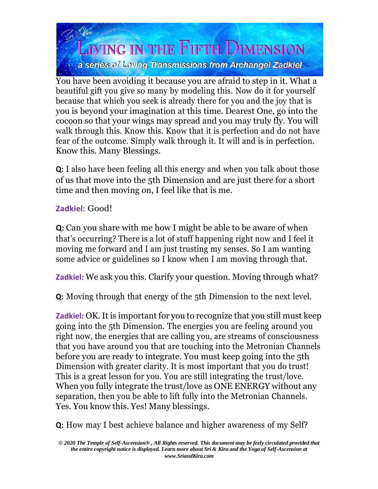

You have been avoiding it because you are afraid to step in it. What a beautiful gift you give so many by modeling this. Now do it for yourself because that which you seek is already there for you and the joy that is you is beyond your imagination at this time. Dearest One, go into the cocoon so that your wings may spread and you may truly fly. You will walk through this. Know this. Know that it is perfection and do not have fear of the outcome. Simply walk through it. It will and is in perfection. Know this. Many Blessings.

**Q:** I also have been feeling all this energy and when you talk about those of us that move into the 5th Dimension and are just there for a short time and then moving on, I feel like that is me.

## **Zadkiel:** Good!

**Q:** Can you share with me how I might be able to be aware of when that's occurring? There is a lot of stuff happening right now and I feel it moving me forward and I am just trusting my senses. So I am wanting some advice or guidelines so I know when I am moving through that.

**Zadkiel:** We ask you this. Clarify your question. Moving through what?

**Q:** Moving through that energy of the 5th Dimension to the next level.

**Zadkiel:** OK. It is important for you to recognize that you still must keep going into the 5th Dimension. The energies you are feeling around you right now, the energies that are calling you, are streams of consciousness that you have around you that are touching into the Metronian Channels before you are ready to integrate. You must keep going into the 5th Dimension with greater clarity. It is most important that you do trust! This is a great lesson for you. You are still integrating the trust/love. When you fully integrate the trust/love as ONE ENERGY without any separation, then you be able to lift fully into the Metronian Channels. Yes. You know this. Yes! Many blessings.

**Q:** How may I best achieve balance and higher awareness of my Self?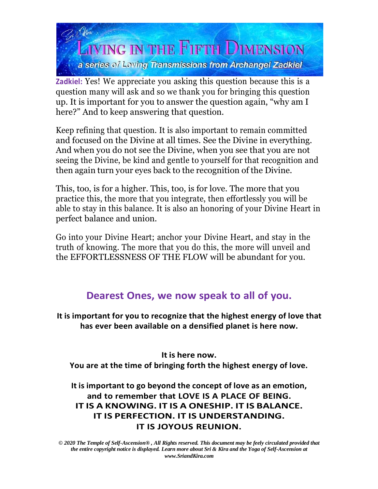

**Zadkiel:** Yes! We appreciate you asking this question because this is a question many will ask and so we thank you for bringing this question up. It is important for you to answer the question again, "why am I here?" And to keep answering that question.

Keep refining that question. It is also important to remain committed and focused on the Divine at all times. See the Divine in everything. And when you do not see the Divine, when you see that you are not seeing the Divine, be kind and gentle to yourself for that recognition and then again turn your eyes back to the recognition of the Divine.

This, too, is for a higher. This, too, is for love. The more that you practice this, the more that you integrate, then effortlessly you will be able to stay in this balance. It is also an honoring of your Divine Heart in perfect balance and union.

Go into your Divine Heart; anchor your Divine Heart, and stay in the truth of knowing. The more that you do this, the more will unveil and the EFFORTLESSNESS OF THE FLOW will be abundant for you.

# **Dearest Ones, we now speak to all of you.**

**It is important for you to recognize that the highest energy of love that has ever been available on a densified planet is here now.**

**It is here now.**

**You are at the time of bringing forth the highest energy of love.**

**It is important to go beyond the concept of love as an emotion, and to remember that LOVE IS A PLACE OF BEING. IT IS A KNOWING. IT IS A ONESHIP. IT IS BALANCE. IT IS PERFECTION. IT IS UNDERSTANDING. IT IS JOYOUS REUNION.**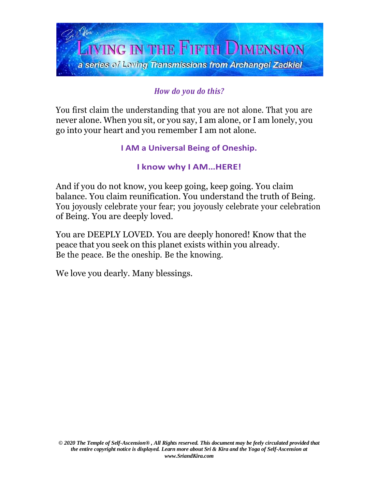

# *How do you do this?*

You first claim the understanding that you are not alone. That you are never alone. When you sit, or you say, I am alone, or I am lonely, you go into your heart and you remember I am not alone.

#### **I AM a Universal Being of Oneship.**

#### **I know why I AM…HERE!**

And if you do not know, you keep going, keep going. You claim balance. You claim reunification. You understand the truth of Being. You joyously celebrate your fear; you joyously celebrate your celebration of Being. You are deeply loved.

You are DEEPLY LOVED. You are deeply honored! Know that the peace that you seek on this planet exists within you already. Be the peace. Be the oneship. Be the knowing.

We love you dearly. Many blessings.